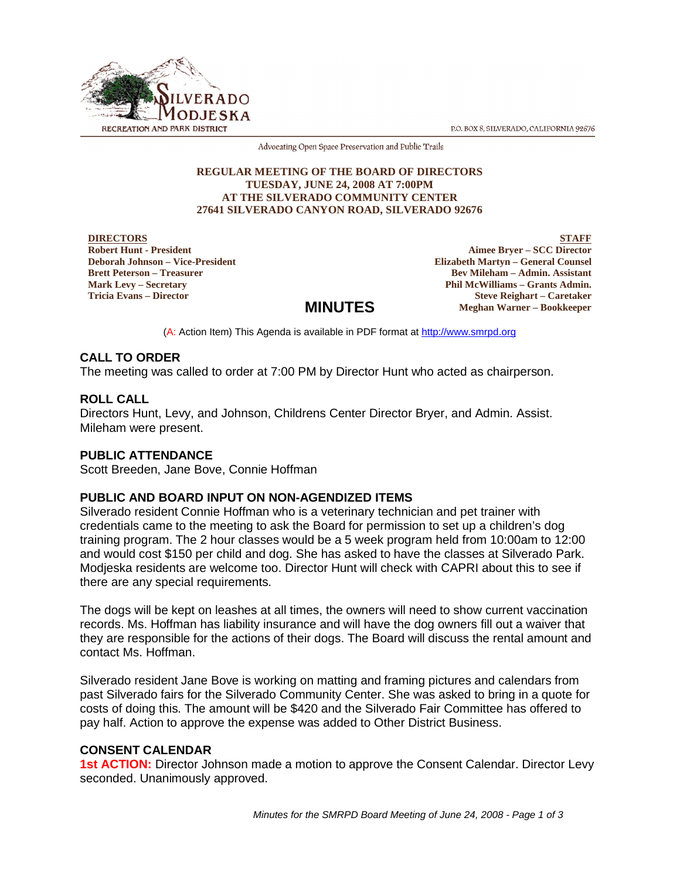P.O. BOX 8, SILVERADO, CALIFORNIA 92676



Advocating Open Space Preservation and Public Trails

#### **REGULAR MEETING OF THE BOARD OF DIRECTORS TUESDAY, JUNE 24, 2008 AT 7:00PM AT THE SILVERADO COMMUNITY CENTER 27641 SILVERADO CANYON ROAD, SILVERADO 92676**

**DIRECTORS Robert Hunt - President Deborah Johnson – Vice-President Brett Peterson – Treasurer Mark Levy – Secretary Tricia Evans – Director**

**STAFF Aimee Bryer – SCC Director Elizabeth Martyn – General Counsel Bev Mileham – Admin. Assistant Phil McWilliams – Grants Admin. Steve Reighart – Caretaker Meghan Warner – Bookkeeper**

# **MINUTES**

(A: Action Item) This Agenda is available in PDF format at http://www.smrpd.org

## **CALL TO ORDER**

The meeting was called to order at 7:00 PM by Director Hunt who acted as chairperson.

## **ROLL CALL**

Directors Hunt, Levy, and Johnson, Childrens Center Director Bryer, and Admin. Assist. Mileham were present.

## **PUBLIC ATTENDANCE**

Scott Breeden, Jane Bove, Connie Hoffman

## **PUBLIC AND BOARD INPUT ON NON-AGENDIZED ITEMS**

Silverado resident Connie Hoffman who is a veterinary technician and pet trainer with credentials came to the meeting to ask the Board for permission to set up a children's dog training program. The 2 hour classes would be a 5 week program held from 10:00am to 12:00 and would cost \$150 per child and dog. She has asked to have the classes at Silverado Park. Modjeska residents are welcome too. Director Hunt will check with CAPRI about this to see if there are any special requirements.

The dogs will be kept on leashes at all times, the owners will need to show current vaccination records. Ms. Hoffman has liability insurance and will have the dog owners fill out a waiver that they are responsible for the actions of their dogs. The Board will discuss the rental amount and contact Ms. Hoffman.

Silverado resident Jane Bove is working on matting and framing pictures and calendars from past Silverado fairs for the Silverado Community Center. She was asked to bring in a quote for costs of doing this. The amount will be \$420 and the Silverado Fair Committee has offered to pay half. Action to approve the expense was added to Other District Business.

#### **CONSENT CALENDAR**

**1st ACTION:** Director Johnson made a motion to approve the Consent Calendar. Director Levy seconded. Unanimously approved.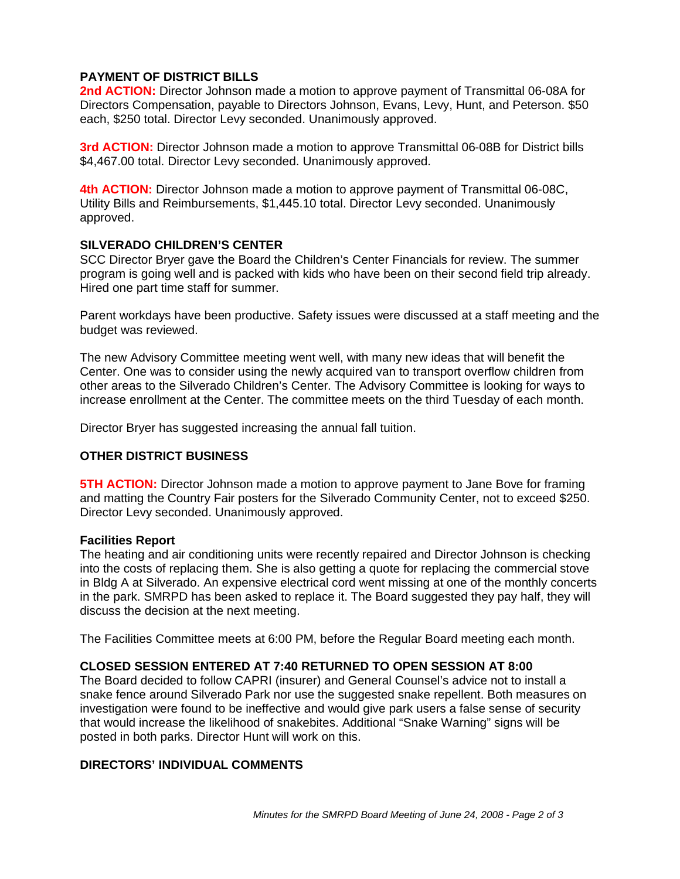## **PAYMENT OF DISTRICT BILLS**

**2nd ACTION:** Director Johnson made a motion to approve payment of Transmittal 06-08A for Directors Compensation, payable to Directors Johnson, Evans, Levy, Hunt, and Peterson. \$50 each, \$250 total. Director Levy seconded. Unanimously approved.

**3rd ACTION:** Director Johnson made a motion to approve Transmittal 06-08B for District bills \$4,467.00 total. Director Levy seconded. Unanimously approved.

**4th ACTION:** Director Johnson made a motion to approve payment of Transmittal 06-08C, Utility Bills and Reimbursements, \$1,445.10 total. Director Levy seconded. Unanimously approved.

#### **SILVERADO CHILDREN'S CENTER**

SCC Director Bryer gave the Board the Children's Center Financials for review. The summer program is going well and is packed with kids who have been on their second field trip already. Hired one part time staff for summer.

Parent workdays have been productive. Safety issues were discussed at a staff meeting and the budget was reviewed.

The new Advisory Committee meeting went well, with many new ideas that will benefit the Center. One was to consider using the newly acquired van to transport overflow children from other areas to the Silverado Children's Center. The Advisory Committee is looking for ways to increase enrollment at the Center. The committee meets on the third Tuesday of each month.

Director Bryer has suggested increasing the annual fall tuition.

#### **OTHER DISTRICT BUSINESS**

**5TH ACTION:** Director Johnson made a motion to approve payment to Jane Bove for framing and matting the Country Fair posters for the Silverado Community Center, not to exceed \$250. Director Levy seconded. Unanimously approved.

#### **Facilities Report**

The heating and air conditioning units were recently repaired and Director Johnson is checking into the costs of replacing them. She is also getting a quote for replacing the commercial stove in Bldg A at Silverado. An expensive electrical cord went missing at one of the monthly concerts in the park. SMRPD has been asked to replace it. The Board suggested they pay half, they will discuss the decision at the next meeting.

The Facilities Committee meets at 6:00 PM, before the Regular Board meeting each month.

## **CLOSED SESSION ENTERED AT 7:40 RETURNED TO OPEN SESSION AT 8:00**

The Board decided to follow CAPRI (insurer) and General Counsel's advice not to install a snake fence around Silverado Park nor use the suggested snake repellent. Both measures on investigation were found to be ineffective and would give park users a false sense of security that would increase the likelihood of snakebites. Additional "Snake Warning" signs will be posted in both parks. Director Hunt will work on this.

## **DIRECTORS' INDIVIDUAL COMMENTS**